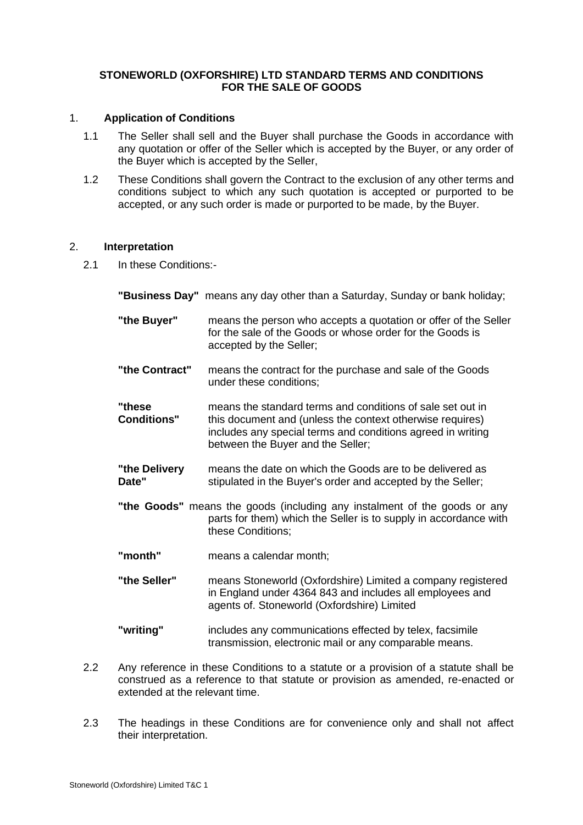## **STONEWORLD (OXFORSHIRE) LTD STANDARD TERMS AND CONDITIONS FOR THE SALE OF GOODS**

### 1. **Application of Conditions**

- 1.1 The Seller shall sell and the Buyer shall purchase the Goods in accordance with any quotation or offer of the Seller which is accepted by the Buyer, or any order of the Buyer which is accepted by the Seller,
- 1.2 These Conditions shall govern the Contract to the exclusion of any other terms and conditions subject to which any such quotation is accepted or purported to be accepted, or any such order is made or purported to be made, by the Buyer.

#### 2. **Interpretation**

2.1 In these Conditions:-

**"Business Day"** means any day other than a Saturday, Sunday or bank holiday;

- **"the Buyer"** means the person who accepts a quotation or offer of the Seller for the sale of the Goods or whose order for the Goods is accepted by the Seller;
- **"the Contract"** means the contract for the purchase and sale of the Goods under these conditions;
- **"these** means the standard terms and conditions of sale set out in **Conditions"** this document and (unless the context otherwise requires) includes any special terms and conditions agreed in writing between the Buyer and the Seller;
- **"the Delivery** means the date on which the Goods are to be delivered as **Date"** stipulated in the Buyer's order and accepted by the Seller;
- **"the Goods"** means the goods (including any instalment of the goods or any parts for them) which the Seller is to supply in accordance with these Conditions;
- **"month"** means a calendar month;
- **"the Seller"** means Stoneworld (Oxfordshire) Limited a company registered in England under 4364 843 and includes all employees and agents of. Stoneworld (Oxfordshire) Limited
- **"writing"** includes any communications effected by telex, facsimile transmission, electronic mail or any comparable means.
- 2.2 Any reference in these Conditions to a statute or a provision of a statute shall be construed as a reference to that statute or provision as amended, re-enacted or extended at the relevant time.
- 2.3 The headings in these Conditions are for convenience only and shall not affect their interpretation.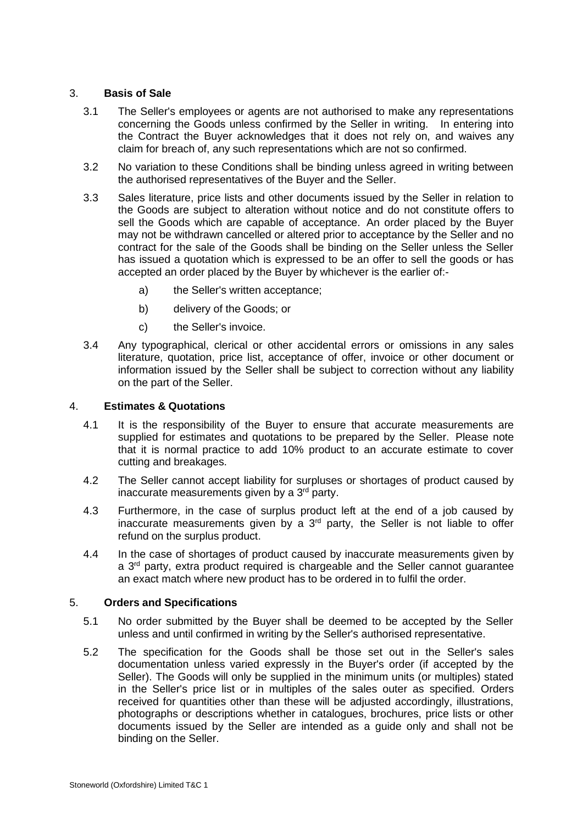### 3. **Basis of Sale**

- 3.1 The Seller's employees or agents are not authorised to make any representations concerning the Goods unless confirmed by the Seller in writing. In entering into the Contract the Buyer acknowledges that it does not rely on, and waives any claim for breach of, any such representations which are not so confirmed.
- 3.2 No variation to these Conditions shall be binding unless agreed in writing between the authorised representatives of the Buyer and the Seller.
- 3.3 Sales literature, price lists and other documents issued by the Seller in relation to the Goods are subject to alteration without notice and do not constitute offers to sell the Goods which are capable of acceptance. An order placed by the Buyer may not be withdrawn cancelled or altered prior to acceptance by the Seller and no contract for the sale of the Goods shall be binding on the Seller unless the Seller has issued a quotation which is expressed to be an offer to sell the goods or has accepted an order placed by the Buyer by whichever is the earlier of:
	- a) the Seller's written acceptance;
	- b) delivery of the Goods; or
	- c) the Seller's invoice.
- 3.4 Any typographical, clerical or other accidental errors or omissions in any sales literature, quotation, price list, acceptance of offer, invoice or other document or information issued by the Seller shall be subject to correction without any liability on the part of the Seller.

### 4. **Estimates & Quotations**

- 4.1 It is the responsibility of the Buyer to ensure that accurate measurements are supplied for estimates and quotations to be prepared by the Seller. Please note that it is normal practice to add 10% product to an accurate estimate to cover cutting and breakages.
- 4.2 The Seller cannot accept liability for surpluses or shortages of product caused by inaccurate measurements given by a 3<sup>rd</sup> party.
- 4.3 Furthermore, in the case of surplus product left at the end of a job caused by inaccurate measurements given by a  $3<sup>rd</sup>$  party, the Seller is not liable to offer refund on the surplus product.
- 4.4 In the case of shortages of product caused by inaccurate measurements given by a 3<sup>rd</sup> party, extra product required is chargeable and the Seller cannot guarantee an exact match where new product has to be ordered in to fulfil the order.

#### 5. **Orders and Specifications**

- 5.1 No order submitted by the Buyer shall be deemed to be accepted by the Seller unless and until confirmed in writing by the Seller's authorised representative.
- 5.2 The specification for the Goods shall be those set out in the Seller's sales documentation unless varied expressly in the Buyer's order (if accepted by the Seller). The Goods will only be supplied in the minimum units (or multiples) stated in the Seller's price list or in multiples of the sales outer as specified. Orders received for quantities other than these will be adjusted accordingly, illustrations, photographs or descriptions whether in catalogues, brochures, price lists or other documents issued by the Seller are intended as a guide only and shall not be binding on the Seller.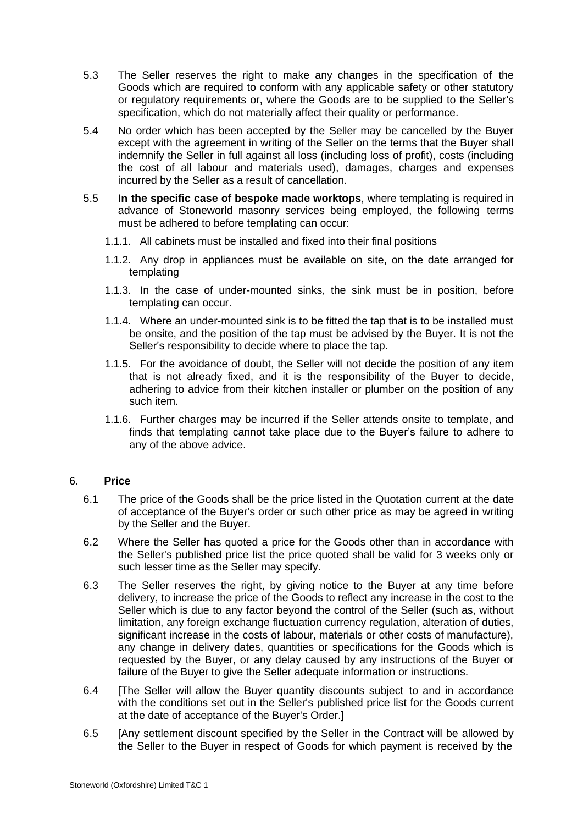- 5.3 The Seller reserves the right to make any changes in the specification of the Goods which are required to conform with any applicable safety or other statutory or regulatory requirements or, where the Goods are to be supplied to the Seller's specification, which do not materially affect their quality or performance.
- 5.4 No order which has been accepted by the Seller may be cancelled by the Buyer except with the agreement in writing of the Seller on the terms that the Buyer shall indemnify the Seller in full against all loss (including loss of profit), costs (including the cost of all labour and materials used), damages, charges and expenses incurred by the Seller as a result of cancellation.
- 5.5 **In the specific case of bespoke made worktops**, where templating is required in advance of Stoneworld masonry services being employed, the following terms must be adhered to before templating can occur:
	- 1.1.1. All cabinets must be installed and fixed into their final positions
	- 1.1.2. Any drop in appliances must be available on site, on the date arranged for templating
	- 1.1.3. In the case of under-mounted sinks, the sink must be in position, before templating can occur.
	- 1.1.4. Where an under-mounted sink is to be fitted the tap that is to be installed must be onsite, and the position of the tap must be advised by the Buyer. It is not the Seller's responsibility to decide where to place the tap.
	- 1.1.5. For the avoidance of doubt, the Seller will not decide the position of any item that is not already fixed, and it is the responsibility of the Buyer to decide, adhering to advice from their kitchen installer or plumber on the position of any such item.
	- 1.1.6. Further charges may be incurred if the Seller attends onsite to template, and finds that templating cannot take place due to the Buyer's failure to adhere to any of the above advice.

## 6. **Price**

- 6.1 The price of the Goods shall be the price listed in the Quotation current at the date of acceptance of the Buyer's order or such other price as may be agreed in writing by the Seller and the Buyer.
- 6.2 Where the Seller has quoted a price for the Goods other than in accordance with the Seller's published price list the price quoted shall be valid for 3 weeks only or such lesser time as the Seller may specify.
- 6.3 The Seller reserves the right, by giving notice to the Buyer at any time before delivery, to increase the price of the Goods to reflect any increase in the cost to the Seller which is due to any factor beyond the control of the Seller (such as, without limitation, any foreign exchange fluctuation currency regulation, alteration of duties, significant increase in the costs of labour, materials or other costs of manufacture), any change in delivery dates, quantities or specifications for the Goods which is requested by the Buyer, or any delay caused by any instructions of the Buyer or failure of the Buyer to give the Seller adequate information or instructions.
- 6.4 [The Seller will allow the Buyer quantity discounts subject to and in accordance with the conditions set out in the Seller's published price list for the Goods current at the date of acceptance of the Buyer's Order.]
- 6.5 [Any settlement discount specified by the Seller in the Contract will be allowed by the Seller to the Buyer in respect of Goods for which payment is received by the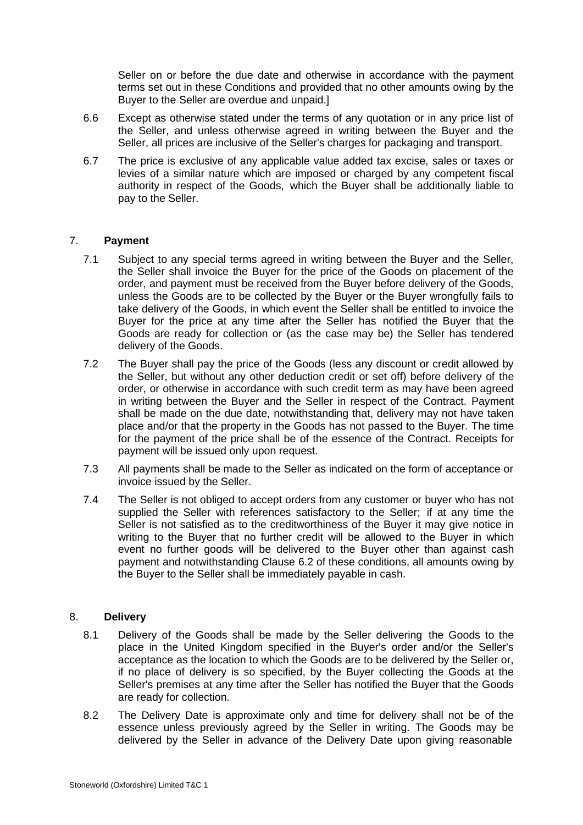Seller on or before the due date and otherwise in accordance with the payment terms set out in these Conditions and provided that no other amounts owing by the Buyer to the Seller are overdue and unpaid.]

- 6.6 Except as otherwise stated under the terms of any quotation or in any price list of the Seller, and unless otherwise agreed in writing between the Buyer and the Seller, all prices are inclusive of the Seller's charges for packaging and transport.
- 6.7 The price is exclusive of any applicable value added tax excise, sales or taxes or levies of a similar nature which are imposed or charged by any competent fiscal authority in respect of the Goods, which the Buyer shall be additionally liable to pay to the Seller.

## 7. **Payment**

- 7.1 Subject to any special terms agreed in writing between the Buyer and the Seller, the Seller shall invoice the Buyer for the price of the Goods on placement of the order, and payment must be received from the Buyer before delivery of the Goods, unless the Goods are to be collected by the Buyer or the Buyer wrongfully fails to take delivery of the Goods, in which event the Seller shall be entitled to invoice the Buyer for the price at any time after the Seller has notified the Buyer that the Goods are ready for collection or (as the case may be) the Seller has tendered delivery of the Goods.
- 7.2 The Buyer shall pay the price of the Goods (less any discount or credit allowed by the Seller, but without any other deduction credit or set off) before delivery of the order, or otherwise in accordance with such credit term as may have been agreed in writing between the Buyer and the Seller in respect of the Contract. Payment shall be made on the due date, notwithstanding that, delivery may not have taken place and/or that the property in the Goods has not passed to the Buyer. The time for the payment of the price shall be of the essence of the Contract. Receipts for payment will be issued only upon request.
- 7.3 All payments shall be made to the Seller as indicated on the form of acceptance or invoice issued by the Seller.
- 7.4 The Seller is not obliged to accept orders from any customer or buyer who has not supplied the Seller with references satisfactory to the Seller; if at any time the Seller is not satisfied as to the creditworthiness of the Buyer it may give notice in writing to the Buyer that no further credit will be allowed to the Buyer in which event no further goods will be delivered to the Buyer other than against cash payment and notwithstanding Clause 6.2 of these conditions, all amounts owing by the Buyer to the Seller shall be immediately payable in cash.

## 8. **Delivery**

- 8.1 Delivery of the Goods shall be made by the Seller delivering the Goods to the place in the United Kingdom specified in the Buyer's order and/or the Seller's acceptance as the location to which the Goods are to be delivered by the Seller or, if no place of delivery is so specified, by the Buyer collecting the Goods at the Seller's premises at any time after the Seller has notified the Buyer that the Goods are ready for collection.
- 8.2 The Delivery Date is approximate only and time for delivery shall not be of the essence unless previously agreed by the Seller in writing. The Goods may be delivered by the Seller in advance of the Delivery Date upon giving reasonable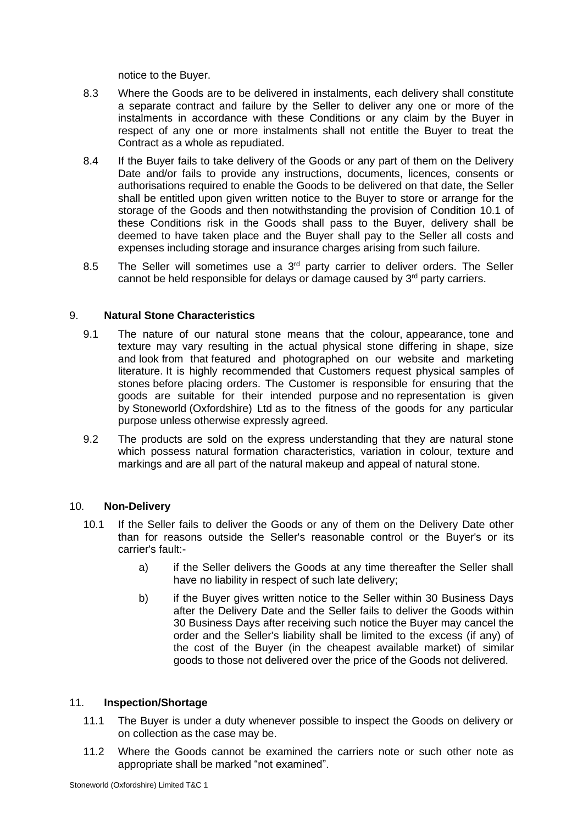notice to the Buyer.

- 8.3 Where the Goods are to be delivered in instalments, each delivery shall constitute a separate contract and failure by the Seller to deliver any one or more of the instalments in accordance with these Conditions or any claim by the Buyer in respect of any one or more instalments shall not entitle the Buyer to treat the Contract as a whole as repudiated.
- 8.4 If the Buyer fails to take delivery of the Goods or any part of them on the Delivery Date and/or fails to provide any instructions, documents, licences, consents or authorisations required to enable the Goods to be delivered on that date, the Seller shall be entitled upon given written notice to the Buyer to store or arrange for the storage of the Goods and then notwithstanding the provision of Condition 10.1 of these Conditions risk in the Goods shall pass to the Buyer, delivery shall be deemed to have taken place and the Buyer shall pay to the Seller all costs and expenses including storage and insurance charges arising from such failure.
- 8.5 The Seller will sometimes use a  $3<sup>rd</sup>$  party carrier to deliver orders. The Seller cannot be held responsible for delays or damage caused by 3<sup>rd</sup> party carriers.

### 9. **Natural Stone Characteristics**

- 9.1 The nature of our natural stone means that the colour, appearance, tone and texture may vary resulting in the actual physical stone differing in shape, size and look from that featured and photographed on our website and marketing literature. It is highly recommended that Customers request physical samples of stones before placing orders. The Customer is responsible for ensuring that the goods are suitable for their intended purpose and no representation is given by Stoneworld (Oxfordshire) Ltd as to the fitness of the goods for any particular purpose unless otherwise expressly agreed.
- 9.2 The products are sold on the express understanding that they are natural stone which possess natural formation characteristics, variation in colour, texture and markings and are all part of the natural makeup and appeal of natural stone.

#### 10. **Non-Delivery**

- 10.1 If the Seller fails to deliver the Goods or any of them on the Delivery Date other than for reasons outside the Seller's reasonable control or the Buyer's or its carrier's fault:
	- a) if the Seller delivers the Goods at any time thereafter the Seller shall have no liability in respect of such late delivery;
	- b) if the Buyer gives written notice to the Seller within 30 Business Days after the Delivery Date and the Seller fails to deliver the Goods within 30 Business Days after receiving such notice the Buyer may cancel the order and the Seller's liability shall be limited to the excess (if any) of the cost of the Buyer (in the cheapest available market) of similar goods to those not delivered over the price of the Goods not delivered.

## 11. **Inspection/Shortage**

- 11.1 The Buyer is under a duty whenever possible to inspect the Goods on delivery or on collection as the case may be.
- 11.2 Where the Goods cannot be examined the carriers note or such other note as appropriate shall be marked "not examined".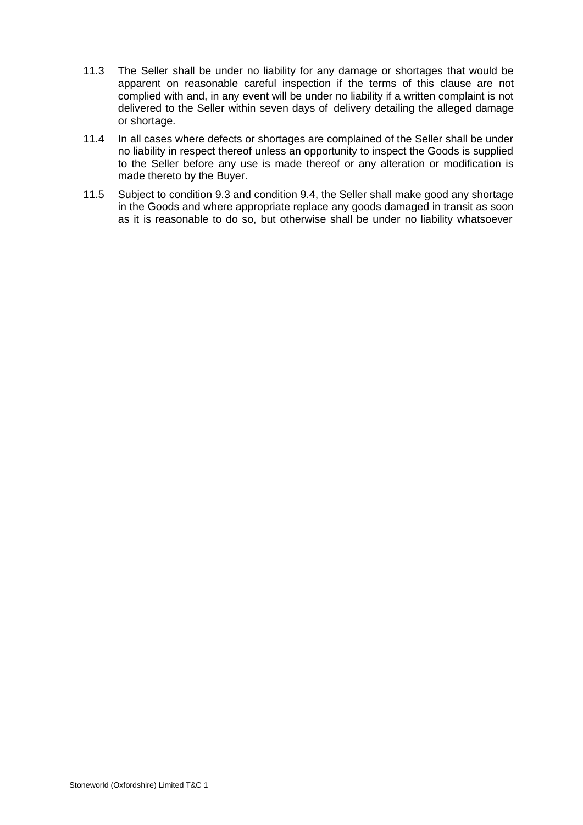- 11.3 The Seller shall be under no liability for any damage or shortages that would be apparent on reasonable careful inspection if the terms of this clause are not complied with and, in any event will be under no liability if a written complaint is not delivered to the Seller within seven days of delivery detailing the alleged damage or shortage.
- 11.4 In all cases where defects or shortages are complained of the Seller shall be under no liability in respect thereof unless an opportunity to inspect the Goods is supplied to the Seller before any use is made thereof or any alteration or modification is made thereto by the Buyer.
- 11.5 Subject to condition 9.3 and condition 9.4, the Seller shall make good any shortage in the Goods and where appropriate replace any goods damaged in transit as soon as it is reasonable to do so, but otherwise shall be under no liability whatsoever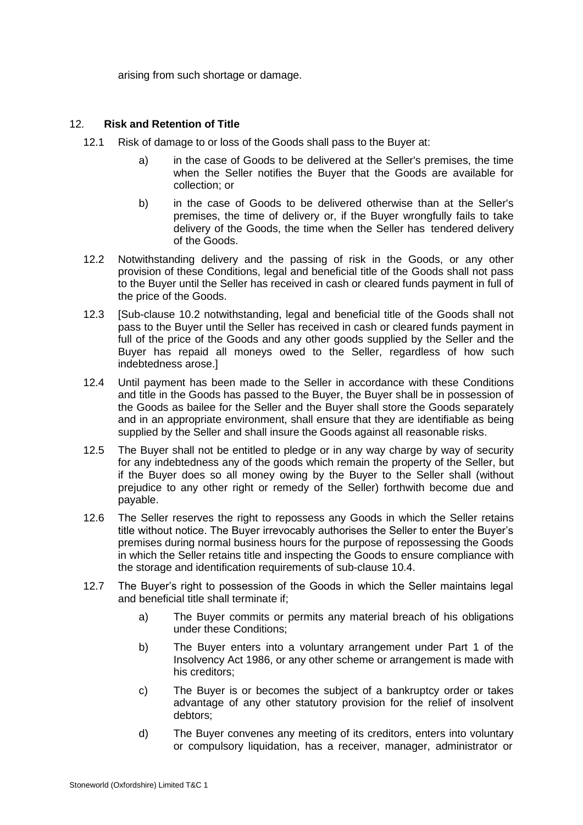arising from such shortage or damage.

## 12. **Risk and Retention of Title**

- 12.1 Risk of damage to or loss of the Goods shall pass to the Buyer at:
	- a) in the case of Goods to be delivered at the Seller's premises, the time when the Seller notifies the Buyer that the Goods are available for collection; or
	- b) in the case of Goods to be delivered otherwise than at the Seller's premises, the time of delivery or, if the Buyer wrongfully fails to take delivery of the Goods, the time when the Seller has tendered delivery of the Goods.
- 12.2 Notwithstanding delivery and the passing of risk in the Goods, or any other provision of these Conditions, legal and beneficial title of the Goods shall not pass to the Buyer until the Seller has received in cash or cleared funds payment in full of the price of the Goods.
- 12.3 [Sub-clause 10.2 notwithstanding, legal and beneficial title of the Goods shall not pass to the Buyer until the Seller has received in cash or cleared funds payment in full of the price of the Goods and any other goods supplied by the Seller and the Buyer has repaid all moneys owed to the Seller, regardless of how such indebtedness arose.]
- 12.4 Until payment has been made to the Seller in accordance with these Conditions and title in the Goods has passed to the Buyer, the Buyer shall be in possession of the Goods as bailee for the Seller and the Buyer shall store the Goods separately and in an appropriate environment, shall ensure that they are identifiable as being supplied by the Seller and shall insure the Goods against all reasonable risks.
- 12.5 The Buyer shall not be entitled to pledge or in any way charge by way of security for any indebtedness any of the goods which remain the property of the Seller, but if the Buyer does so all money owing by the Buyer to the Seller shall (without prejudice to any other right or remedy of the Seller) forthwith become due and payable.
- 12.6 The Seller reserves the right to repossess any Goods in which the Seller retains title without notice. The Buyer irrevocably authorises the Seller to enter the Buyer's premises during normal business hours for the purpose of repossessing the Goods in which the Seller retains title and inspecting the Goods to ensure compliance with the storage and identification requirements of sub-clause 10.4.
- 12.7 The Buyer's right to possession of the Goods in which the Seller maintains legal and beneficial title shall terminate if;
	- a) The Buyer commits or permits any material breach of his obligations under these Conditions;
	- b) The Buyer enters into a voluntary arrangement under Part 1 of the Insolvency Act 1986, or any other scheme or arrangement is made with his creditors;
	- c) The Buyer is or becomes the subject of a bankruptcy order or takes advantage of any other statutory provision for the relief of insolvent debtors;
	- d) The Buyer convenes any meeting of its creditors, enters into voluntary or compulsory liquidation, has a receiver, manager, administrator or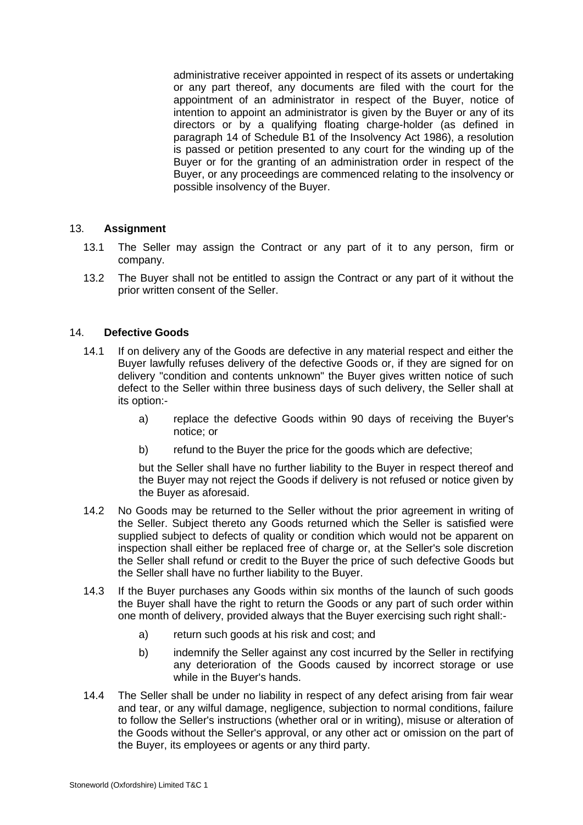administrative receiver appointed in respect of its assets or undertaking or any part thereof, any documents are filed with the court for the appointment of an administrator in respect of the Buyer, notice of intention to appoint an administrator is given by the Buyer or any of its directors or by a qualifying floating charge-holder (as defined in paragraph 14 of Schedule B1 of the Insolvency Act 1986), a resolution is passed or petition presented to any court for the winding up of the Buyer or for the granting of an administration order in respect of the Buyer, or any proceedings are commenced relating to the insolvency or possible insolvency of the Buyer.

## 13. **Assignment**

- 13.1 The Seller may assign the Contract or any part of it to any person, firm or company.
- 13.2 The Buyer shall not be entitled to assign the Contract or any part of it without the prior written consent of the Seller.

#### 14. **Defective Goods**

- 14.1 If on delivery any of the Goods are defective in any material respect and either the Buyer lawfully refuses delivery of the defective Goods or, if they are signed for on delivery "condition and contents unknown" the Buyer gives written notice of such defect to the Seller within three business days of such delivery, the Seller shall at its option:
	- a) replace the defective Goods within 90 days of receiving the Buyer's notice; or
	- b) refund to the Buyer the price for the goods which are defective;

but the Seller shall have no further liability to the Buyer in respect thereof and the Buyer may not reject the Goods if delivery is not refused or notice given by the Buyer as aforesaid.

- 14.2 No Goods may be returned to the Seller without the prior agreement in writing of the Seller. Subject thereto any Goods returned which the Seller is satisfied were supplied subject to defects of quality or condition which would not be apparent on inspection shall either be replaced free of charge or, at the Seller's sole discretion the Seller shall refund or credit to the Buyer the price of such defective Goods but the Seller shall have no further liability to the Buyer.
- 14.3 If the Buyer purchases any Goods within six months of the launch of such goods the Buyer shall have the right to return the Goods or any part of such order within one month of delivery, provided always that the Buyer exercising such right shall:
	- a) return such goods at his risk and cost; and
	- b) indemnify the Seller against any cost incurred by the Seller in rectifying any deterioration of the Goods caused by incorrect storage or use while in the Buyer's hands.
- 14.4 The Seller shall be under no liability in respect of any defect arising from fair wear and tear, or any wilful damage, negligence, subjection to normal conditions, failure to follow the Seller's instructions (whether oral or in writing), misuse or alteration of the Goods without the Seller's approval, or any other act or omission on the part of the Buyer, its employees or agents or any third party.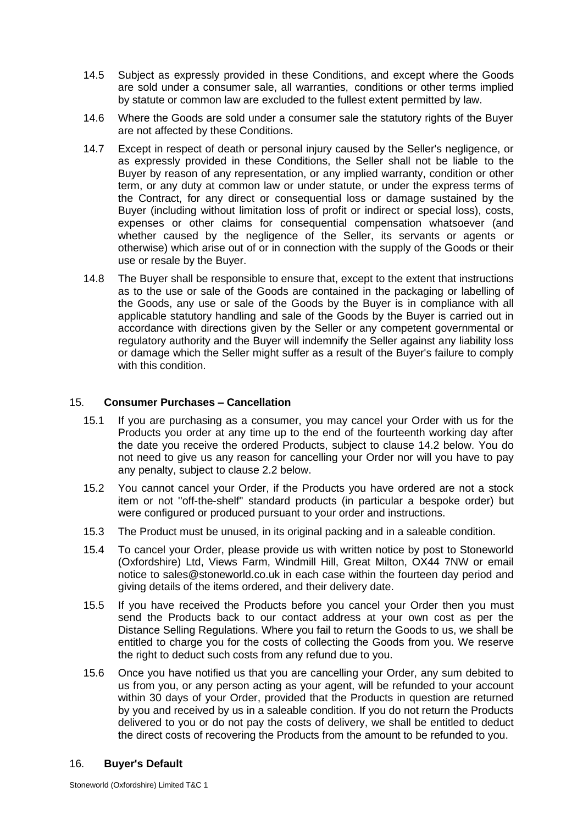- 14.5 Subject as expressly provided in these Conditions, and except where the Goods are sold under a consumer sale, all warranties, conditions or other terms implied by statute or common law are excluded to the fullest extent permitted by law.
- 14.6 Where the Goods are sold under a consumer sale the statutory rights of the Buyer are not affected by these Conditions.
- 14.7 Except in respect of death or personal injury caused by the Seller's negligence, or as expressly provided in these Conditions, the Seller shall not be liable to the Buyer by reason of any representation, or any implied warranty, condition or other term, or any duty at common law or under statute, or under the express terms of the Contract, for any direct or consequential loss or damage sustained by the Buyer (including without limitation loss of profit or indirect or special loss), costs, expenses or other claims for consequential compensation whatsoever (and whether caused by the negligence of the Seller, its servants or agents or otherwise) which arise out of or in connection with the supply of the Goods or their use or resale by the Buyer.
- 14.8 The Buyer shall be responsible to ensure that, except to the extent that instructions as to the use or sale of the Goods are contained in the packaging or labelling of the Goods, any use or sale of the Goods by the Buyer is in compliance with all applicable statutory handling and sale of the Goods by the Buyer is carried out in accordance with directions given by the Seller or any competent governmental or regulatory authority and the Buyer will indemnify the Seller against any liability loss or damage which the Seller might suffer as a result of the Buyer's failure to comply with this condition.

## 15. **Consumer Purchases – Cancellation**

- 15.1 If you are purchasing as a consumer, you may cancel your Order with us for the Products you order at any time up to the end of the fourteenth working day after the date you receive the ordered Products, subject to clause 14.2 below. You do not need to give us any reason for cancelling your Order nor will you have to pay any penalty, subject to clause 2.2 below.
- 15.2 You cannot cancel your Order, if the Products you have ordered are not a stock item or not ''off-the-shelf'' standard products (in particular a bespoke order) but were configured or produced pursuant to your order and instructions.
- 15.3 The Product must be unused, in its original packing and in a saleable condition.
- 15.4 To cancel your Order, please provide us with written notice by post to Stoneworld (Oxfordshire) Ltd, Views Farm, Windmill Hill, Great Milton, OX44 7NW or email notice to sales@stoneworld.co.uk in each case within the fourteen day period and giving details of the items ordered, and their delivery date.
- 15.5 If you have received the Products before you cancel your Order then you must send the Products back to our contact address at your own cost as per the Distance Selling Regulations. Where you fail to return the Goods to us, we shall be entitled to charge you for the costs of collecting the Goods from you. We reserve the right to deduct such costs from any refund due to you.
- 15.6 Once you have notified us that you are cancelling your Order, any sum debited to us from you, or any person acting as your agent, will be refunded to your account within 30 days of your Order, provided that the Products in question are returned by you and received by us in a saleable condition. If you do not return the Products delivered to you or do not pay the costs of delivery, we shall be entitled to deduct the direct costs of recovering the Products from the amount to be refunded to you.

#### 16. **Buyer's Default**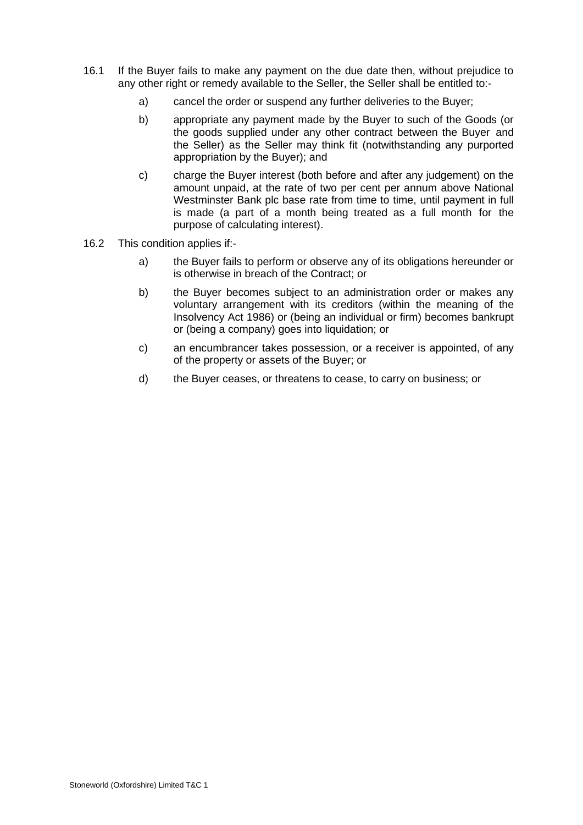- 16.1 If the Buyer fails to make any payment on the due date then, without prejudice to any other right or remedy available to the Seller, the Seller shall be entitled to:
	- a) cancel the order or suspend any further deliveries to the Buyer;
	- b) appropriate any payment made by the Buyer to such of the Goods (or the goods supplied under any other contract between the Buyer and the Seller) as the Seller may think fit (notwithstanding any purported appropriation by the Buyer); and
	- c) charge the Buyer interest (both before and after any judgement) on the amount unpaid, at the rate of two per cent per annum above National Westminster Bank plc base rate from time to time, until payment in full is made (a part of a month being treated as a full month for the purpose of calculating interest).
- 16.2 This condition applies if:
	- a) the Buyer fails to perform or observe any of its obligations hereunder or is otherwise in breach of the Contract; or
	- b) the Buyer becomes subject to an administration order or makes any voluntary arrangement with its creditors (within the meaning of the Insolvency Act 1986) or (being an individual or firm) becomes bankrupt or (being a company) goes into liquidation; or
	- c) an encumbrancer takes possession, or a receiver is appointed, of any of the property or assets of the Buyer; or
	- d) the Buyer ceases, or threatens to cease, to carry on business; or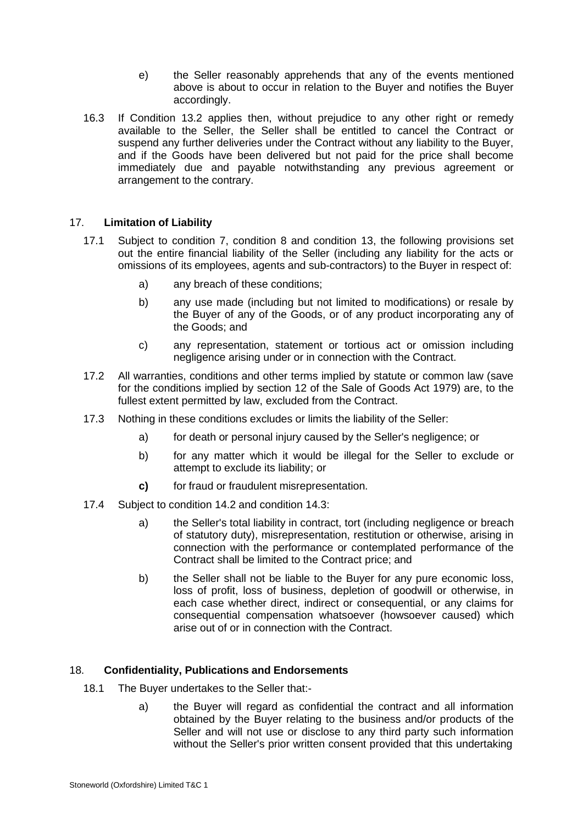- e) the Seller reasonably apprehends that any of the events mentioned above is about to occur in relation to the Buyer and notifies the Buyer accordingly.
- 16.3 If Condition 13.2 applies then, without prejudice to any other right or remedy available to the Seller, the Seller shall be entitled to cancel the Contract or suspend any further deliveries under the Contract without any liability to the Buyer, and if the Goods have been delivered but not paid for the price shall become immediately due and payable notwithstanding any previous agreement or arrangement to the contrary.

# 17. **Limitation of Liability**

- 17.1 Subject to condition 7, condition 8 and condition 13, the following provisions set out the entire financial liability of the Seller (including any liability for the acts or omissions of its employees, agents and sub-contractors) to the Buyer in respect of:
	- a) any breach of these conditions;
	- b) any use made (including but not limited to modifications) or resale by the Buyer of any of the Goods, or of any product incorporating any of the Goods; and
	- c) any representation, statement or tortious act or omission including negligence arising under or in connection with the Contract.
- 17.2 All warranties, conditions and other terms implied by statute or common law (save for the conditions implied by section 12 of the Sale of Goods Act 1979) are, to the fullest extent permitted by law, excluded from the Contract.
- 17.3 Nothing in these conditions excludes or limits the liability of the Seller:
	- a) for death or personal injury caused by the Seller's negligence; or
	- b) for any matter which it would be illegal for the Seller to exclude or attempt to exclude its liability; or
	- **c)** for fraud or fraudulent misrepresentation.
- 17.4 Subject to condition 14.2 and condition 14.3:
	- a) the Seller's total liability in contract, tort (including negligence or breach of statutory duty), misrepresentation, restitution or otherwise, arising in connection with the performance or contemplated performance of the Contract shall be limited to the Contract price; and
	- b) the Seller shall not be liable to the Buyer for any pure economic loss, loss of profit, loss of business, depletion of goodwill or otherwise, in each case whether direct, indirect or consequential, or any claims for consequential compensation whatsoever (howsoever caused) which arise out of or in connection with the Contract.

## 18. **Confidentiality, Publications and Endorsements**

- 18.1 The Buyer undertakes to the Seller that:
	- a) the Buyer will regard as confidential the contract and all information obtained by the Buyer relating to the business and/or products of the Seller and will not use or disclose to any third party such information without the Seller's prior written consent provided that this undertaking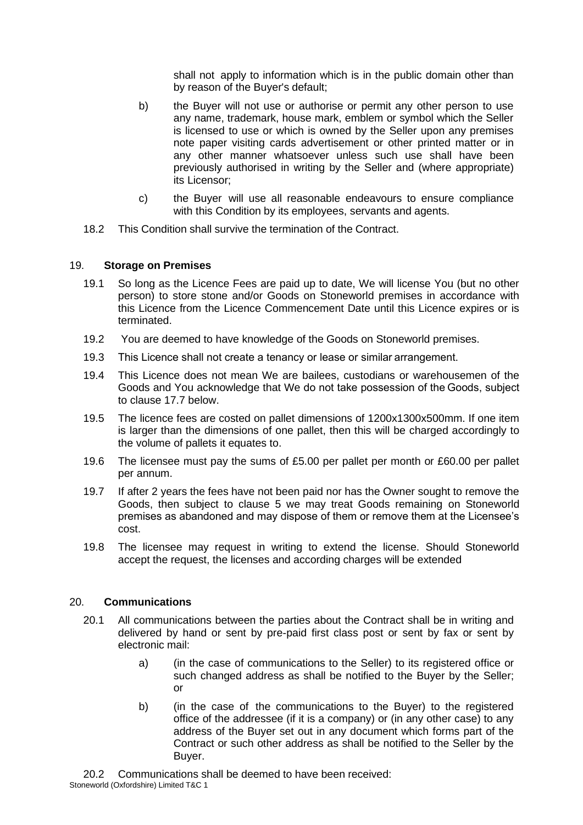shall not apply to information which is in the public domain other than by reason of the Buyer's default;

- b) the Buyer will not use or authorise or permit any other person to use any name, trademark, house mark, emblem or symbol which the Seller is licensed to use or which is owned by the Seller upon any premises note paper visiting cards advertisement or other printed matter or in any other manner whatsoever unless such use shall have been previously authorised in writing by the Seller and (where appropriate) its Licensor;
- c) the Buyer will use all reasonable endeavours to ensure compliance with this Condition by its employees, servants and agents.
- 18.2 This Condition shall survive the termination of the Contract.

### 19. **Storage on Premises**

- 19.1 So long as the Licence Fees are paid up to date, We will license You (but no other person) to store stone and/or Goods on Stoneworld premises in accordance with this Licence from the Licence Commencement Date until this Licence expires or is terminated.
- 19.2 You are deemed to have knowledge of the Goods on Stoneworld premises.
- 19.3 This Licence shall not create a tenancy or lease or similar arrangement.
- 19.4 This Licence does not mean We are bailees, custodians or warehousemen of the Goods and You acknowledge that We do not take possession of the Goods, subject to clause 17.7 below.
- 19.5 The licence fees are costed on pallet dimensions of 1200x1300x500mm. If one item is larger than the dimensions of one pallet, then this will be charged accordingly to the volume of pallets it equates to.
- 19.6 The licensee must pay the sums of £5.00 per pallet per month or £60.00 per pallet per annum.
- 19.7 If after 2 years the fees have not been paid nor has the Owner sought to remove the Goods, then subject to clause 5 we may treat Goods remaining on Stoneworld premises as abandoned and may dispose of them or remove them at the Licensee's cost.
- 19.8 The licensee may request in writing to extend the license. Should Stoneworld accept the request, the licenses and according charges will be extended

### 20. **Communications**

- 20.1 All communications between the parties about the Contract shall be in writing and delivered by hand or sent by pre-paid first class post or sent by fax or sent by electronic mail:
	- a) (in the case of communications to the Seller) to its registered office or such changed address as shall be notified to the Buyer by the Seller; or
	- b) (in the case of the communications to the Buyer) to the registered office of the addressee (if it is a company) or (in any other case) to any address of the Buyer set out in any document which forms part of the Contract or such other address as shall be notified to the Seller by the Buyer.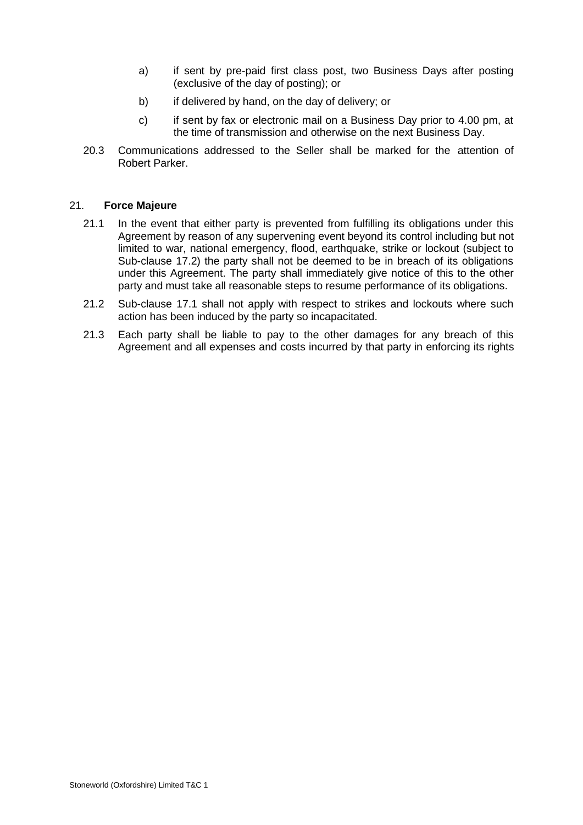- a) if sent by pre-paid first class post, two Business Days after posting (exclusive of the day of posting); or
- b) if delivered by hand, on the day of delivery; or
- c) if sent by fax or electronic mail on a Business Day prior to 4.00 pm, at the time of transmission and otherwise on the next Business Day.
- 20.3 Communications addressed to the Seller shall be marked for the attention of Robert Parker.

### 21. **Force Majeure**

- 21.1 In the event that either party is prevented from fulfilling its obligations under this Agreement by reason of any supervening event beyond its control including but not limited to war, national emergency, flood, earthquake, strike or lockout (subject to Sub-clause 17.2) the party shall not be deemed to be in breach of its obligations under this Agreement. The party shall immediately give notice of this to the other party and must take all reasonable steps to resume performance of its obligations.
- 21.2 Sub-clause 17.1 shall not apply with respect to strikes and lockouts where such action has been induced by the party so incapacitated.
- 21.3 Each party shall be liable to pay to the other damages for any breach of this Agreement and all expenses and costs incurred by that party in enforcing its rights